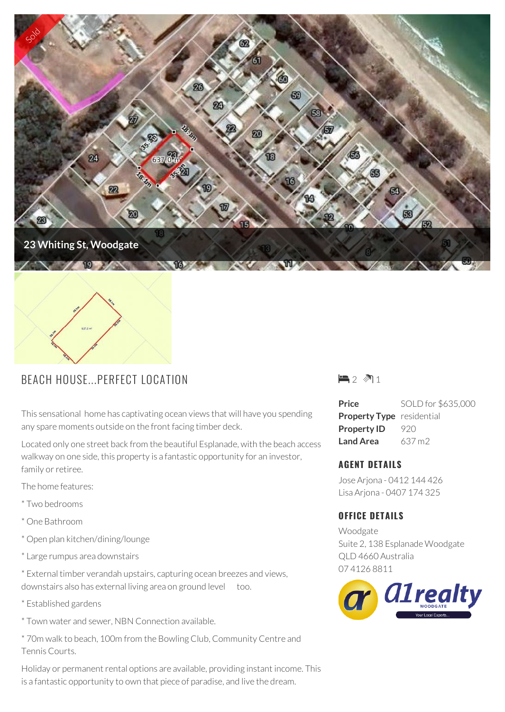

## BEACH HOUSE...PERFECT LOCATION

This sensational home has captivating ocean views that will have you spending any spare moments outside on the front facing timber deck.

Located only one street back from the beautiful Esplanade, with the beach access walkway on one side, this property is a fantastic opportunity for an investor, family or retiree.

The home features:

- \* Two bedrooms
- \* One Bathroom
- \* Open plan kitchen/dining/lounge
- \* Large rumpus area downstairs

\* External timber verandah upstairs, capturing ocean breezes and views, downstairs also has external living area on ground level too.

- \* Established gardens
- \* Town water and sewer, NBN Connection available.

\* 70m walk to beach, 100m from the Bowling Club, Community Centre and Tennis Courts.

Holiday or permanent rental options are available, providing instant income. This is a fantastic opportunity to own that piece of paradise, and live the dream.



**Price** SOLD for \$635,000 **Property Type** residential **Property ID** 920 **Land Area** 637 m2

## **AGENT DETAILS**

Jose Arjona - 0412 144 426 Lisa Arjona - 0407 174 325

## **OFFICE DETAILS**

Woodgate Suite 2, 138 Esplanade Woodgate QLD 4660 Australia 07 4126 8811